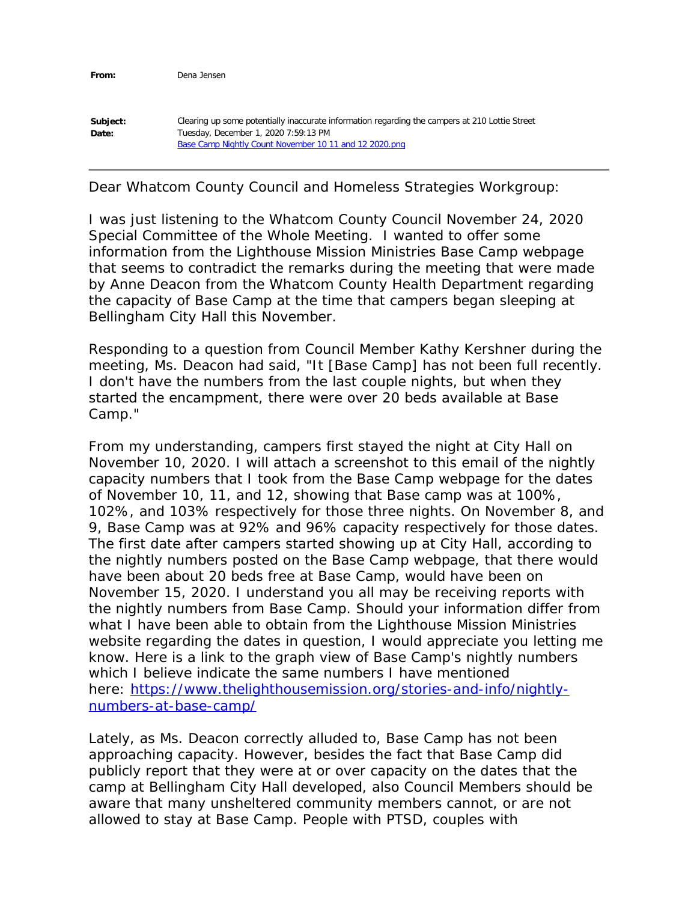**From:** Dena Jensen

| Subject: | Clearing up some potentially inaccurate information regarding the campers at 210 Lottie Street |
|----------|------------------------------------------------------------------------------------------------|
| Date:    | Tuesday, December 1, 2020 7:59:13 PM                                                           |
|          | Base Camp Nightly Count November 10 11 and 12 2020.png                                         |

Dear Whatcom County Council and Homeless Strategies Workgroup:

I was just listening to the Whatcom County Council November 24, 2020 Special Committee of the Whole Meeting. I wanted to offer some information from the Lighthouse Mission Ministries Base Camp webpage that seems to contradict the remarks during the meeting that were made by Anne Deacon from the Whatcom County Health Department regarding the capacity of Base Camp at the time that campers began sleeping at Bellingham City Hall this November.

Responding to a question from Council Member Kathy Kershner during the meeting, Ms. Deacon had said, "It [Base Camp] has not been full recently. I don't have the numbers from the last couple nights, but when they started the encampment, there were over 20 beds available at Base Camp."

From my understanding, campers first stayed the night at City Hall on November 10, 2020. I will attach a screenshot to this email of the nightly capacity numbers that I took from the Base Camp webpage for the dates of November 10, 11, and 12, showing that Base camp was at 100%, 102%, and 103% respectively for those three nights. On November 8, and 9, Base Camp was at 92% and 96% capacity respectively for those dates. The first date after campers started showing up at City Hall, according to the nightly numbers posted on the Base Camp webpage, that there would have been about 20 beds free at Base Camp, would have been on November 15, 2020. I understand you all may be receiving reports with the nightly numbers from Base Camp. Should your information differ from what I have been able to obtain from the Lighthouse Mission Ministries website regarding the dates in question, I would appreciate you letting me know. Here is a link to the graph view of Base Camp's nightly numbers which I believe indicate the same numbers I have mentioned here: https://www.thelighthousemission.org/stories-and-info/nightlynumbers-at-base-camp/

Lately, as Ms. Deacon correctly alluded to, Base Camp has not been approaching capacity. However, besides the fact that Base Camp did publicly report that they were at or over capacity on the dates that the camp at Bellingham City Hall developed, also Council Members should be aware that many unsheltered community members cannot, or are not allowed to stay at Base Camp. People with PTSD, couples with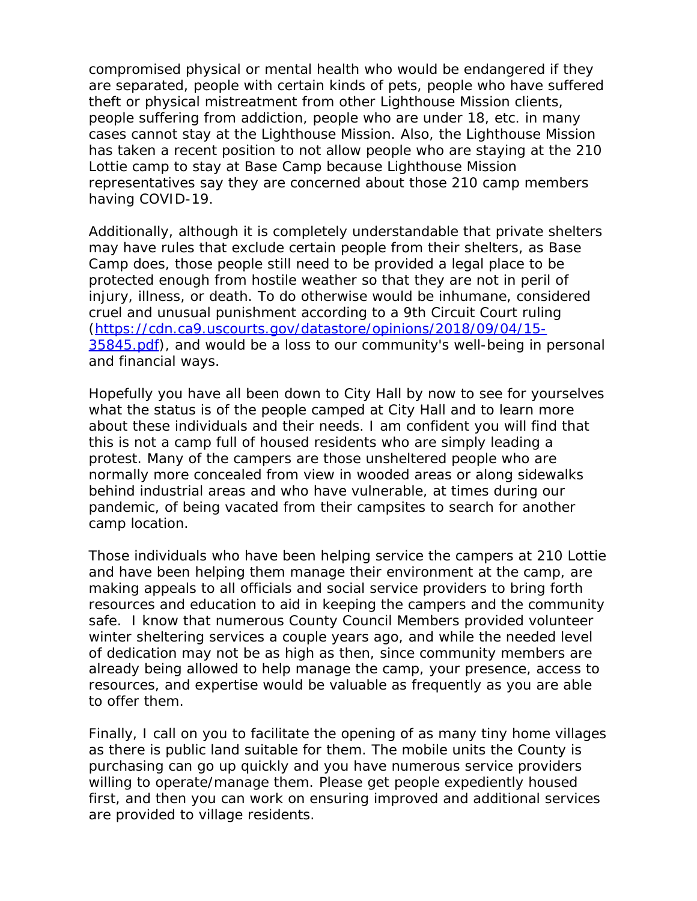compromised physical or mental health who would be endangered if they are separated, people with certain kinds of pets, people who have suffered theft or physical mistreatment from other Lighthouse Mission clients, people suffering from addiction, people who are under 18, etc. in many cases cannot stay at the Lighthouse Mission. Also, the Lighthouse Mission has taken a recent position to not allow people who are staying at the 210 Lottie camp to stay at Base Camp because Lighthouse Mission representatives say they are concerned about those 210 camp members having COVID-19.

Additionally, although it is completely understandable that private shelters may have rules that exclude certain people from their shelters, as Base Camp does, those people still need to be provided a legal place to be protected enough from hostile weather so that they are not in peril of injury, illness, or death. To do otherwise would be inhumane, considered cruel and unusual punishment according to a 9th Circuit Court ruling (https://cdn.ca9.uscourts.gov/datastore/opinions/2018/09/04/15- 35845.pdf), and would be a loss to our community's well-being in personal and financial ways.

Hopefully you have all been down to City Hall by now to see for yourselves what the status is of the people camped at City Hall and to learn more about these individuals and their needs. I am confident you will find that this is not a camp full of housed residents who are simply leading a protest. Many of the campers are those unsheltered people who are normally more concealed from view in wooded areas or along sidewalks behind industrial areas and who have vulnerable, at times during our pandemic, of being vacated from their campsites to search for another camp location.

Those individuals who have been helping service the campers at 210 Lottie and have been helping them manage their environment at the camp, are making appeals to all officials and social service providers to bring forth resources and education to aid in keeping the campers and the community safe. I know that numerous County Council Members provided volunteer winter sheltering services a couple years ago, and while the needed level of dedication may not be as high as then, since community members are already being allowed to help manage the camp, your presence, access to resources, and expertise would be valuable as frequently as you are able to offer them.

Finally, I call on you to facilitate the opening of as many tiny home villages as there is public land suitable for them. The mobile units the County is purchasing can go up quickly and you have numerous service providers willing to operate/manage them. Please get people expediently housed first, and then you can work on ensuring improved and additional services are provided to village residents.